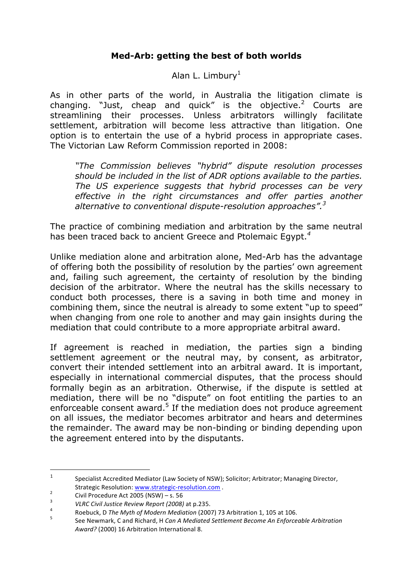## **Med-Arb: getting the best of both worlds**

Alan L. Limbury<sup>1</sup>

As in other parts of the world, in Australia the litigation climate is changing. "Just, cheap and quick" is the objective. $2$  Courts are streamlining their processes. Unless arbitrators willingly facilitate settlement, arbitration will become less attractive than litigation. One option is to entertain the use of a hybrid process in appropriate cases. The Victorian Law Reform Commission reported in 2008:

*"The Commission believes "hybrid" dispute resolution processes should be included in the list of ADR options available to the parties. The US experience suggests that hybrid processes can be very effective in the right circumstances and offer parties another alternative to conventional dispute-resolution approaches". 3*

The practice of combining mediation and arbitration by the same neutral has been traced back to ancient Greece and Ptolemaic Egypt.*<sup>4</sup>*

Unlike mediation alone and arbitration alone, Med-Arb has the advantage of offering both the possibility of resolution by the parties' own agreement and, failing such agreement, the certainty of resolution by the binding decision of the arbitrator. Where the neutral has the skills necessary to conduct both processes, there is a saving in both time and money in combining them, since the neutral is already to some extent "up to speed" when changing from one role to another and may gain insights during the mediation that could contribute to a more appropriate arbitral award.

If agreement is reached in mediation, the parties sign a binding settlement agreement or the neutral may, by consent, as arbitrator, convert their intended settlement into an arbitral award. It is important, especially in international commercial disputes, that the process should formally begin as an arbitration. Otherwise, if the dispute is settled at mediation, there will be no "dispute" on foot entitling the parties to an enforceable consent award.<sup>5</sup> If the mediation does not produce agreement on all issues, the mediator becomes arbitrator and hears and determines the remainder. The award may be non-binding or binding depending upon the agreement entered into by the disputants.

 $\overline{a}$ 

<sup>&</sup>lt;sup>1</sup> Specialist Accredited Mediator (Law Society of NSW); Solicitor; Arbitrator; Managing Director, Strategic Resolution: www.strategic-resolution.com<br>
2 Civil Procedure Act 2005 (NSW) – s. 56<br>
2 VLRC Civil Justice Review Report (2008) at p.235.<br>
8 Roebuck, D The Myth of Modern Mediation (2007) 73 Arbitration 1, 105 at 1

Award? (2000) 16 Arbitration International 8.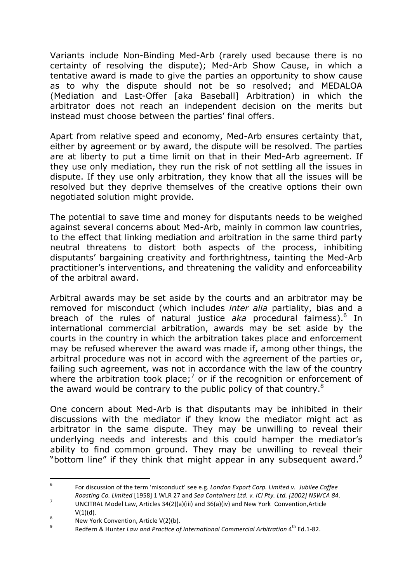Variants include Non-Binding Med-Arb (rarely used because there is no certainty of resolving the dispute); Med-Arb Show Cause, in which a tentative award is made to give the parties an opportunity to show cause as to why the dispute should not be so resolved; and MEDALOA (Mediation and Last-Offer [aka Baseball] Arbitration) in which the arbitrator does not reach an independent decision on the merits but instead must choose between the parties' final offers.

Apart from relative speed and economy, Med-Arb ensures certainty that, either by agreement or by award, the dispute will be resolved. The parties are at liberty to put a time limit on that in their Med-Arb agreement. If they use only mediation, they run the risk of not settling all the issues in dispute. If they use only arbitration, they know that all the issues will be resolved but they deprive themselves of the creative options their own negotiated solution might provide.

The potential to save time and money for disputants needs to be weighed against several concerns about Med-Arb, mainly in common law countries, to the effect that linking mediation and arbitration in the same third party neutral threatens to distort both aspects of the process, inhibiting disputants' bargaining creativity and forthrightness, tainting the Med-Arb practitioner's interventions, and threatening the validity and enforceability of the arbitral award.

Arbitral awards may be set aside by the courts and an arbitrator may be removed for misconduct (which includes *inter alia* partiality, bias and a breach of the rules of natural justice *aka* procedural fairness).<sup>6</sup> In international commercial arbitration, awards may be set aside by the courts in the country in which the arbitration takes place and enforcement may be refused wherever the award was made if, among other things, the arbitral procedure was not in accord with the agreement of the parties or, failing such agreement, was not in accordance with the law of the country where the arbitration took place;<sup>7</sup> or if the recognition or enforcement of the award would be contrary to the public policy of that country.<sup>8</sup>

One concern about Med-Arb is that disputants may be inhibited in their discussions with the mediator if they know the mediator might act as arbitrator in the same dispute. They may be unwilling to reveal their underlying needs and interests and this could hamper the mediator's ability to find common ground. They may be unwilling to reveal their "bottom line" if they think that might appear in any subsequent award. $9$ 

 $6\overline{6}$ For discussion of the term 'misconduct' see e.g. *London Export Corp. Limited v. Jubilee Coffee* 

*Roasting Co. Limited* [1958] 1 WLR 27 and *Sea Containers Ltd. v. ICI Pty. Ltd.* [2002] NSWCA 84.<br>UNCITRAL Model Law, Articles 34(2)(a)(iii) and 36(a)(iv) and New York Convention,Article

V(1)(d).<br><sup>8</sup> New York Convention, Article V(2)(b).<br><sup>9</sup> Redfern & Hunter *Law and Practice of International Commercial Arbitration* 4<sup>th</sup> Ed.1-82.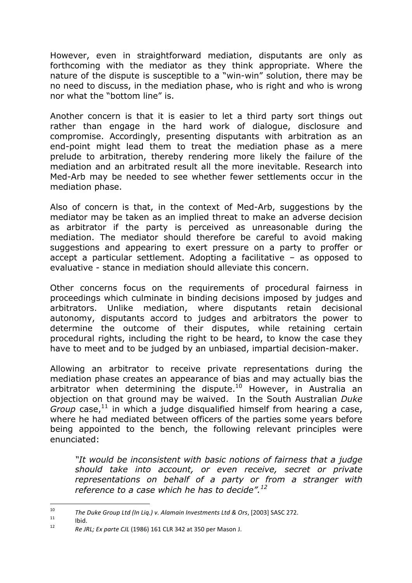However, even in straightforward mediation, disputants are only as forthcoming with the mediator as they think appropriate. Where the nature of the dispute is susceptible to a "win-win" solution, there may be no need to discuss, in the mediation phase, who is right and who is wrong nor what the "bottom line" is.

Another concern is that it is easier to let a third party sort things out rather than engage in the hard work of dialogue, disclosure and compromise. Accordingly, presenting disputants with arbitration as an end-point might lead them to treat the mediation phase as a mere prelude to arbitration, thereby rendering more likely the failure of the mediation and an arbitrated result all the more inevitable. Research into Med-Arb may be needed to see whether fewer settlements occur in the mediation phase.

Also of concern is that, in the context of Med-Arb, suggestions by the mediator may be taken as an implied threat to make an adverse decision as arbitrator if the party is perceived as unreasonable during the mediation. The mediator should therefore be careful to avoid making suggestions and appearing to exert pressure on a party to proffer or accept a particular settlement. Adopting a facilitative – as opposed to evaluative - stance in mediation should alleviate this concern.

Other concerns focus on the requirements of procedural fairness in proceedings which culminate in binding decisions imposed by judges and arbitrators. Unlike mediation, where disputants retain decisional autonomy, disputants accord to judges and arbitrators the power to determine the outcome of their disputes, while retaining certain procedural rights, including the right to be heard, to know the case they have to meet and to be judged by an unbiased, impartial decision-maker.

Allowing an arbitrator to receive private representations during the mediation phase creates an appearance of bias and may actually bias the arbitrator when determining the dispute.<sup>10</sup> However, in Australia an objection on that ground may be waived. In the South Australian *Duke*  Group case,<sup>11</sup> in which a judge disqualified himself from hearing a case, where he had mediated between officers of the parties some years before being appointed to the bench, the following relevant principles were enunciated:

*"It would be inconsistent with basic notions of fairness that a judge should take into account, or even receive, secret or private representations on behalf of a party or from a stranger with reference to a case which he has to decide".<sup>12</sup>*

<sup>10</sup> 10 *The Duke Group Ltd (In Liq.)* v. Alamain Investments Ltd & Ors, [2003] SASC 272.<br>
11 **Ibid.** *Re JRL; Ex parte CJL* (1986) 161 CLR 342 at 350 per Mason J.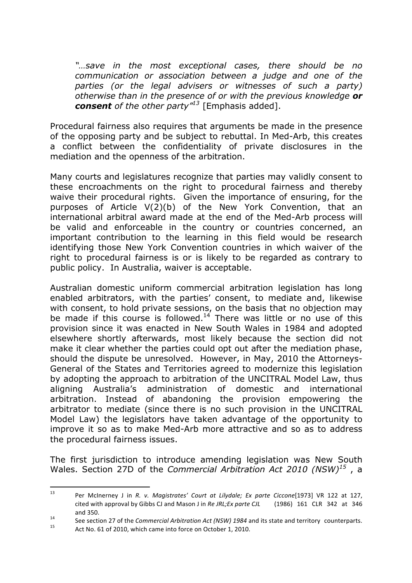*"…save in the most exceptional cases, there should be no communication or association between a judge and one of the parties (or the legal advisers or witnesses of such a party) otherwise than in the presence of or with the previous knowledge or consent of the other party"13* [Emphasis added].

Procedural fairness also requires that arguments be made in the presence of the opposing party and be subject to rebuttal. In Med-Arb, this creates a conflict between the confidentiality of private disclosures in the mediation and the openness of the arbitration.

Many courts and legislatures recognize that parties may validly consent to these encroachments on the right to procedural fairness and thereby waive their procedural rights. Given the importance of ensuring, for the purposes of Article V(2)(b) of the New York Convention, that an international arbitral award made at the end of the Med-Arb process will be valid and enforceable in the country or countries concerned, an important contribution to the learning in this field would be research identifying those New York Convention countries in which waiver of the right to procedural fairness is or is likely to be regarded as contrary to public policy. In Australia, waiver is acceptable.

Australian domestic uniform commercial arbitration legislation has long enabled arbitrators, with the parties' consent, to mediate and, likewise with consent, to hold private sessions, on the basis that no objection may be made if this course is followed.<sup>14</sup> There was little or no use of this provision since it was enacted in New South Wales in 1984 and adopted elsewhere shortly afterwards, most likely because the section did not make it clear whether the parties could opt out after the mediation phase, should the dispute be unresolved. However, in May, 2010 the Attorneys-General of the States and Territories agreed to modernize this legislation by adopting the approach to arbitration of the UNCITRAL Model Law, thus aligning Australia's administration of domestic and international arbitration. Instead of abandoning the provision empowering the arbitrator to mediate (since there is no such provision in the UNCITRAL Model Law) the legislators have taken advantage of the opportunity to improve it so as to make Med-Arb more attractive and so as to address the procedural fairness issues.

The first jurisdiction to introduce amending legislation was New South Wales. Section 27D of the *Commercial Arbitration Act 2010 (NSW)<sup>15</sup>* , a

 $13$ Per McInerney J in *R. v. Magistrates' Court at Lilydale; Ex parte Ciccone*[1973] VR 122 at 127, cited with approval by Gibbs CJ and Mason J in *Re JRL; Ex parte CJL* (1986) 161 CLR 342 at 346

and 350.<br>
See section 27 of the *Commercial Arbitration Act* (NSW) 1984 and its state and territory counterparts.<br>
Act No. 61 of 2010, which came into force on October 1, 2010.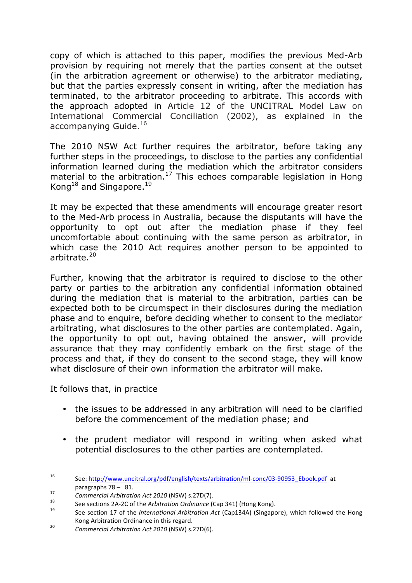copy of which is attached to this paper, modifies the previous Med-Arb provision by requiring not merely that the parties consent at the outset (in the arbitration agreement or otherwise) to the arbitrator mediating, but that the parties expressly consent in writing, after the mediation has terminated, to the arbitrator proceeding to arbitrate. This accords with the approach adopted in Article 12 of the UNCITRAL Model Law on International Commercial Conciliation (2002), as explained in the accompanying Guide.<sup>16</sup>

The 2010 NSW Act further requires the arbitrator, before taking any further steps in the proceedings, to disclose to the parties any confidential information learned during the mediation which the arbitrator considers material to the arbitration.<sup>17</sup> This echoes comparable legislation in Hong Kong<sup>18</sup> and Singapore.<sup>19</sup>

It may be expected that these amendments will encourage greater resort to the Med-Arb process in Australia, because the disputants will have the opportunity to opt out after the mediation phase if they feel uncomfortable about continuing with the same person as arbitrator, in which case the 2010 Act requires another person to be appointed to arbitrate.<sup>20</sup>

Further, knowing that the arbitrator is required to disclose to the other party or parties to the arbitration any confidential information obtained during the mediation that is material to the arbitration, parties can be expected both to be circumspect in their disclosures during the mediation phase and to enquire, before deciding whether to consent to the mediator arbitrating, what disclosures to the other parties are contemplated. Again, the opportunity to opt out, having obtained the answer, will provide assurance that they may confidently embark on the first stage of the process and that, if they do consent to the second stage, they will know what disclosure of their own information the arbitrator will make.

It follows that, in practice

- the issues to be addressed in any arbitration will need to be clarified before the commencement of the mediation phase; and
- the prudent mediator will respond in writing when asked what potential disclosures to the other parties are contemplated.

<sup>16</sup> See: http://www.uncitral.org/pdf/english/texts/arbitration/ml-conc/03-90953\_Ebook.pdf at

paragraphs 78 - 81.<br>
Commercial Arbitration Act 2010 (NSW) s.27D(7).<br>
See sections 2A-2C of the *Arbitration Ordinance* (Cap 341) (Hong Kong).<br>
See section 17 of the *International Arbitration Act (Cap* 134A) (Singapore), Kong Arbitration Ordinance in this regard.<br> *Commercial Arbitration Act 2010* (NSW) s.27D(6).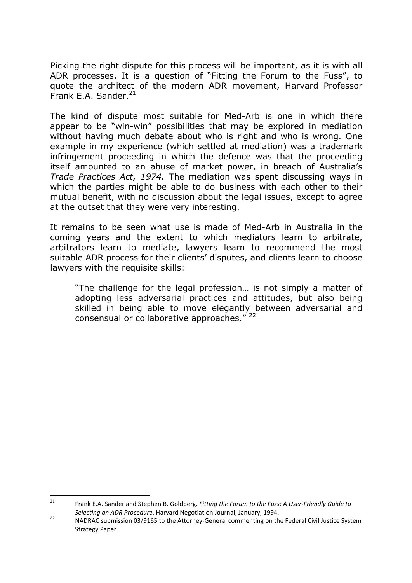Picking the right dispute for this process will be important, as it is with all ADR processes. It is a question of "Fitting the Forum to the Fuss", to quote the architect of the modern ADR movement, Harvard Professor Frank E.A. Sander. $21$ 

The kind of dispute most suitable for Med-Arb is one in which there appear to be "win-win" possibilities that may be explored in mediation without having much debate about who is right and who is wrong. One example in my experience (which settled at mediation) was a trademark infringement proceeding in which the defence was that the proceeding itself amounted to an abuse of market power, in breach of Australia's *Trade Practices Act, 1974.* The mediation was spent discussing ways in which the parties might be able to do business with each other to their mutual benefit, with no discussion about the legal issues, except to agree at the outset that they were very interesting.

It remains to be seen what use is made of Med-Arb in Australia in the coming years and the extent to which mediators learn to arbitrate, arbitrators learn to mediate, lawyers learn to recommend the most suitable ADR process for their clients' disputes, and clients learn to choose lawyers with the requisite skills:

"The challenge for the legal profession… is not simply a matter of adopting less adversarial practices and attitudes, but also being skilled in being able to move elegantly between adversarial and consensual or collaborative approaches."<sup>22</sup>

 $21$ Frank E.A. Sander and Stephen B. Goldberg, Fitting the Forum to the Fuss; A User-Friendly Guide to

*Selecting an ADR Procedure*, Harvard Negotiation Journal, January, 1994.<br><sup>22</sup> NADRAC submission 03/9165 to the Attorney-General commenting on the Federal Civil Justice System Strategy Paper.